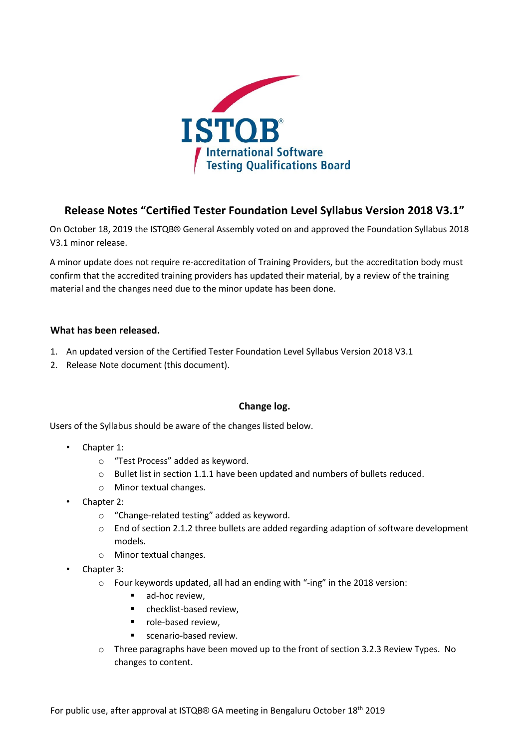

## **Release Notes "Certified Tester Foundation Level Syllabus Version 2018 V3.1"**

On October 18, 2019 the ISTQB® General Assembly voted on and approved the Foundation Syllabus 2018 V3.1 minor release.

A minor update does not require re-accreditation of Training Providers, but the accreditation body must confirm that the accredited training providers has updated their material, by a review of the training material and the changes need due to the minor update has been done.

## **What has been released.**

- 1. An updated version of the Certified Tester Foundation Level Syllabus Version 2018 V3.1
- 2. Release Note document (this document).

## **Change log.**

Users of the Syllabus should be aware of the changes listed below.

- Chapter 1:
	- o "Test Process" added as keyword.
	- $\circ$  Bullet list in section 1.1.1 have been updated and numbers of bullets reduced.
	- o Minor textual changes.
- Chapter 2:
	- o "Change-related testing" added as keyword.
	- o End of section 2.1.2 three bullets are added regarding adaption of software development models.
	- o Minor textual changes.
- Chapter 3:
	- o Four keywords updated, all had an ending with "-ing" in the 2018 version:
		- ad-hoc review,
		- checklist-based review.
		- role-based review,
		- scenario-based review.
	- $\circ$  Three paragraphs have been moved up to the front of section 3.2.3 Review Types. No changes to content.